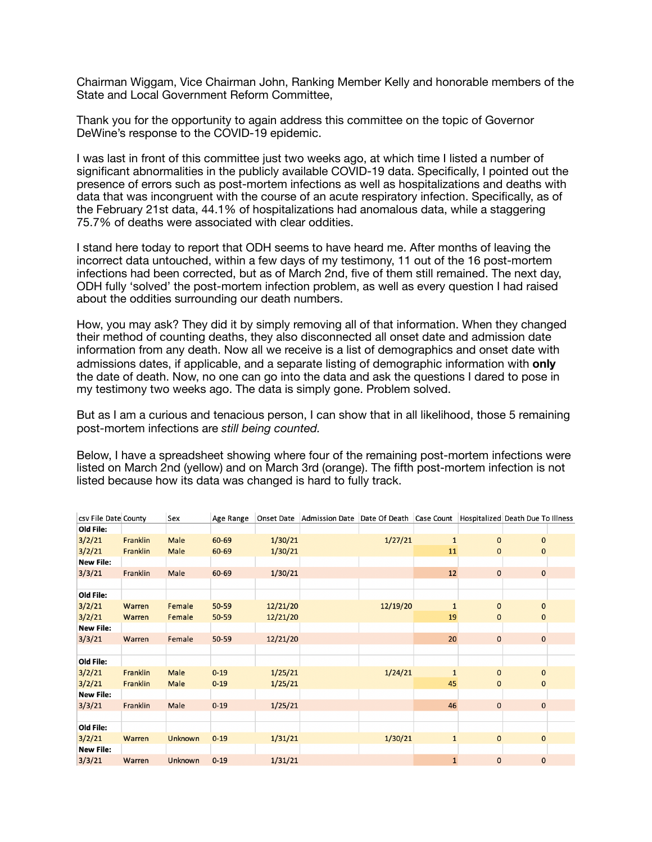Chairman Wiggam, Vice Chairman John, Ranking Member Kelly and honorable members of the State and Local Government Reform Committee,

Thank you for the opportunity to again address this committee on the topic of Governor DeWine's response to the COVID-19 epidemic.

I was last in front of this committee just two weeks ago, at which time I listed a number of significant abnormalities in the publicly available COVID-19 data. Specifically, I pointed out the presence of errors such as post-mortem infections as well as hospitalizations and deaths with data that was incongruent with the course of an acute respiratory infection. Specifically, as of the February 21st data, 44.1% of hospitalizations had anomalous data, while a staggering 75.7% of deaths were associated with clear oddities.

I stand here today to report that ODH seems to have heard me. After months of leaving the incorrect data untouched, within a few days of my testimony, 11 out of the 16 post-mortem infections had been corrected, but as of March 2nd, five of them still remained. The next day, ODH fully 'solved' the post-mortem infection problem, as well as every question I had raised about the oddities surrounding our death numbers.

How, you may ask? They did it by simply removing all of that information. When they changed their method of counting deaths, they also disconnected all onset date and admission date information from any death. Now all we receive is a list of demographics and onset date with admissions dates, if applicable, and a separate listing of demographic information with **only** the date of death. Now, no one can go into the data and ask the questions I dared to pose in my testimony two weeks ago. The data is simply gone. Problem solved.

But as I am a curious and tenacious person, I can show that in all likelihood, those 5 remaining post-mortem infections are *still being counted.* 

Below, I have a spreadsheet showing where four of the remaining post-mortem infections were listed on March 2nd (yellow) and on March 3rd (orange). The fifth post-mortem infection is not listed because how its data was changed is hard to fully track.

| csv File Date County |          | Sex            | Age Range |          | Onset Date Admission Date Date Of Death Case Count |          |              |              | Hospitalized Death Due To Illness |
|----------------------|----------|----------------|-----------|----------|----------------------------------------------------|----------|--------------|--------------|-----------------------------------|
| Old File:            |          |                |           |          |                                                    |          |              |              |                                   |
| 3/2/21               | Franklin | <b>Male</b>    | 60-69     | 1/30/21  |                                                    | 1/27/21  | $\mathbf{1}$ | $\mathbf{O}$ | $\mathbf{0}$                      |
| 3/2/21               | Franklin | Male           | 60-69     | 1/30/21  |                                                    |          | 11           | 0            | $\mathbf{0}$                      |
| <b>New File:</b>     |          |                |           |          |                                                    |          |              |              |                                   |
| 3/3/21               | Franklin | Male           | 60-69     | 1/30/21  |                                                    |          | 12           | $\mathbf 0$  | $\mathbf{0}$                      |
|                      |          |                |           |          |                                                    |          |              |              |                                   |
| Old File:            |          |                |           |          |                                                    |          |              |              |                                   |
| 3/2/21               | Warren   | Female         | 50-59     | 12/21/20 |                                                    | 12/19/20 | $\mathbf{1}$ | $\mathbf{0}$ | $\mathbf{0}$                      |
| 3/2/21               | Warren   | Female         | 50-59     | 12/21/20 |                                                    |          | 19           | $\mathbf 0$  | $\mathbf 0$                       |
| <b>New File:</b>     |          |                |           |          |                                                    |          |              |              |                                   |
| 3/3/21               | Warren   | Female         | 50-59     | 12/21/20 |                                                    |          | 20           | $\mathbf 0$  | $\mathbf{0}$                      |
|                      |          |                |           |          |                                                    |          |              |              |                                   |
| Old File:            |          |                |           |          |                                                    |          |              |              |                                   |
| 3/2/21               | Franklin | Male           | $0 - 19$  | 1/25/21  |                                                    | 1/24/21  | $\mathbf{1}$ | $\mathbf{0}$ | $\mathbf{0}$                      |
| 3/2/21               | Franklin | Male           | $0 - 19$  | 1/25/21  |                                                    |          | 45           | $\mathbf 0$  | $\mathbf{0}$                      |
| <b>New File:</b>     |          |                |           |          |                                                    |          |              |              |                                   |
| 3/3/21               | Franklin | Male           | $0 - 19$  | 1/25/21  |                                                    |          | 46           | $\mathbf 0$  | $\mathbf 0$                       |
|                      |          |                |           |          |                                                    |          |              |              |                                   |
| Old File:            |          |                |           |          |                                                    |          |              |              |                                   |
| 3/2/21               | Warren   | <b>Unknown</b> | $0 - 19$  | 1/31/21  |                                                    | 1/30/21  | $\mathbf{1}$ | $\mathbf{0}$ | $\mathbf{0}$                      |
| <b>New File:</b>     |          |                |           |          |                                                    |          |              |              |                                   |
| 3/3/21               | Warren   | Unknown        | $0 - 19$  | 1/31/21  |                                                    |          | $\mathbf{1}$ | $\mathbf 0$  | $\mathbf 0$                       |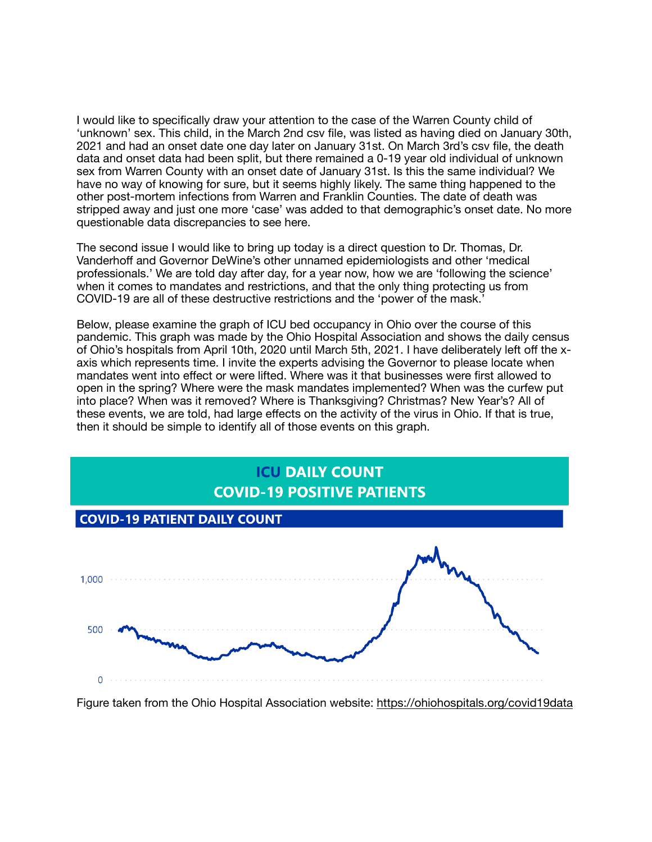I would like to specifically draw your attention to the case of the Warren County child of 'unknown' sex. This child, in the March 2nd csv file, was listed as having died on January 30th, 2021 and had an onset date one day later on January 31st. On March 3rd's csv file, the death data and onset data had been split, but there remained a 0-19 year old individual of unknown sex from Warren County with an onset date of January 31st. Is this the same individual? We have no way of knowing for sure, but it seems highly likely. The same thing happened to the other post-mortem infections from Warren and Franklin Counties. The date of death was stripped away and just one more 'case' was added to that demographic's onset date. No more questionable data discrepancies to see here.

The second issue I would like to bring up today is a direct question to Dr. Thomas, Dr. Vanderhoff and Governor DeWine's other unnamed epidemiologists and other 'medical professionals.' We are told day after day, for a year now, how we are 'following the science' when it comes to mandates and restrictions, and that the only thing protecting us from COVID-19 are all of these destructive restrictions and the 'power of the mask.'

Below, please examine the graph of ICU bed occupancy in Ohio over the course of this pandemic. This graph was made by the Ohio Hospital Association and shows the daily census of Ohio's hospitals from April 10th, 2020 until March 5th, 2021. I have deliberately left off the xaxis which represents time. I invite the experts advising the Governor to please locate when mandates went into effect or were lifted. Where was it that businesses were first allowed to open in the spring? Where were the mask mandates implemented? When was the curfew put into place? When was it removed? Where is Thanksgiving? Christmas? New Year's? All of these events, we are told, had large effects on the activity of the virus in Ohio. If that is true, then it should be simple to identify all of those events on this graph.



Figure taken from the Ohio Hospital Association website: <https://ohiohospitals.org/covid19data>